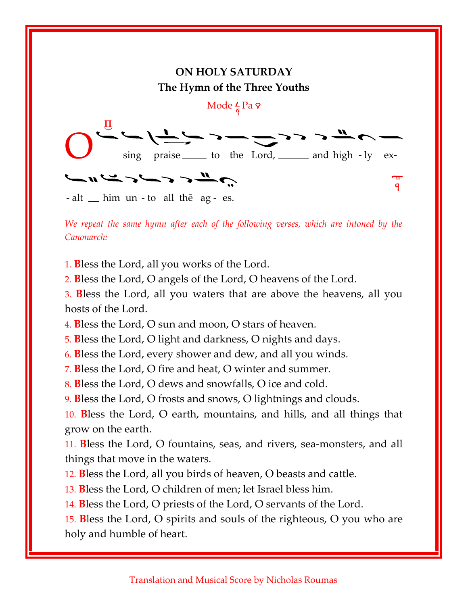

We repeat the same hymn after each of the following verses, which are intoned by the Canonarch:

1. Bless the Lord, all you works of the Lord.

2. Bless the Lord, O angels of the Lord, O heavens of the Lord.

3. Bless the Lord, all you waters that are above the heavens, all you hosts of the Lord.

4. Bless the Lord, O sun and moon, O stars of heaven.

5. Bless the Lord, O light and darkness, O nights and days.

6. Bless the Lord, every shower and dew, and all you winds.

7. Bless the Lord, O fire and heat, O winter and summer.

8. Bless the Lord, O dews and snowfalls, O ice and cold.

9. Bless the Lord, O frosts and snows, O lightnings and clouds.

10. Bless the Lord, O earth, mountains, and hills, and all things that grow on the earth.

11. Bless the Lord, O fountains, seas, and rivers, sea-monsters, and all things that move in the waters.

12. Bless the Lord, all you birds of heaven, O beasts and cattle.

13. Bless the Lord, O children of men; let Israel bless him.

14. Bless the Lord, O priests of the Lord, O servants of the Lord.

15. Bless the Lord, O spirits and souls of the righteous, O you who are holy and humble of heart.